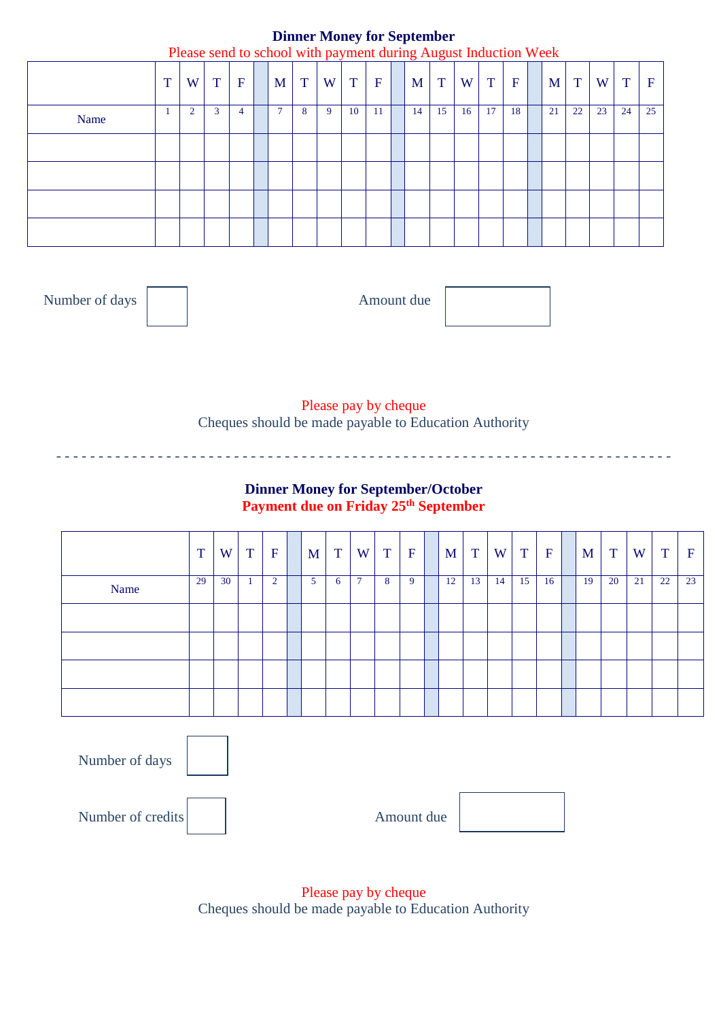#### **Dinner Money for September** Please send to school with payment during August Induction Week

|      |   | These send to send of while payment during August modellon week |             |             |                |   |   |             |             |    |    |    |              |             |              |              |    |    |             |
|------|---|-----------------------------------------------------------------|-------------|-------------|----------------|---|---|-------------|-------------|----|----|----|--------------|-------------|--------------|--------------|----|----|-------------|
|      | T | W                                                               | $\mathbf T$ | $\mathbf F$ | M              | T | W | $\mathbf T$ | $\mathbf F$ | M  | T  | W  | $\mathbf{T}$ | $\mathbf F$ | $\mathbf{M}$ | $\mathbf{T}$ | W  | T  | $\mathbf F$ |
| Name |   | $\overline{2}$                                                  | 3           | 4           | $\overline{7}$ | 8 | 9 | 10          | -11         | 14 | 15 | 16 | 17           | 18          | 21           | 22           | 23 | 24 | 25          |
|      |   |                                                                 |             |             |                |   |   |             |             |    |    |    |              |             |              |              |    |    |             |
|      |   |                                                                 |             |             |                |   |   |             |             |    |    |    |              |             |              |              |    |    |             |
|      |   |                                                                 |             |             |                |   |   |             |             |    |    |    |              |             |              |              |    |    |             |
|      |   |                                                                 |             |             |                |   |   |             |             |    |    |    |              |             |              |              |    |    |             |

Number of days and a set of days Amount due

Please pay by cheque Cheques should be made payable to Education Authority

## **Dinner Money for September/October Payment due on Friday 25th September**

- - - - - - - - - - - - - - - - - - - - - - - - - - - - - - - - - - - - - - - - - - - - - - - - - - - - - - - - - - - - - - - - - - - - - - - - -

|      | T  | W  | $\mathbf{T}$ | $\mathbf{F}$   | M | $\mathbf T$ | W              | T | $\mathbf{F}$ | M <sub>1</sub> | T  | W  | $\mathbf{T}$ | $\mathbf{F}$ | M <sub>1</sub> | $\mathbf{T}$ | W  | T  | $\mathbf{F}$ |
|------|----|----|--------------|----------------|---|-------------|----------------|---|--------------|----------------|----|----|--------------|--------------|----------------|--------------|----|----|--------------|
| Name | 29 | 30 |              | $\overline{2}$ | 5 | 6           | $\overline{ }$ | 8 | 9            | 12             | 13 | 14 | 15           | 16           | 19             | 20           | 21 | 22 | 23           |
|      |    |    |              |                |   |             |                |   |              |                |    |    |              |              |                |              |    |    |              |
|      |    |    |              |                |   |             |                |   |              |                |    |    |              |              |                |              |    |    |              |
|      |    |    |              |                |   |             |                |   |              |                |    |    |              |              |                |              |    |    |              |
|      |    |    |              |                |   |             |                |   |              |                |    |    |              |              |                |              |    |    |              |

Amount due Number of days Number of credits

> Please pay by cheque Cheques should be made payable to Education Authority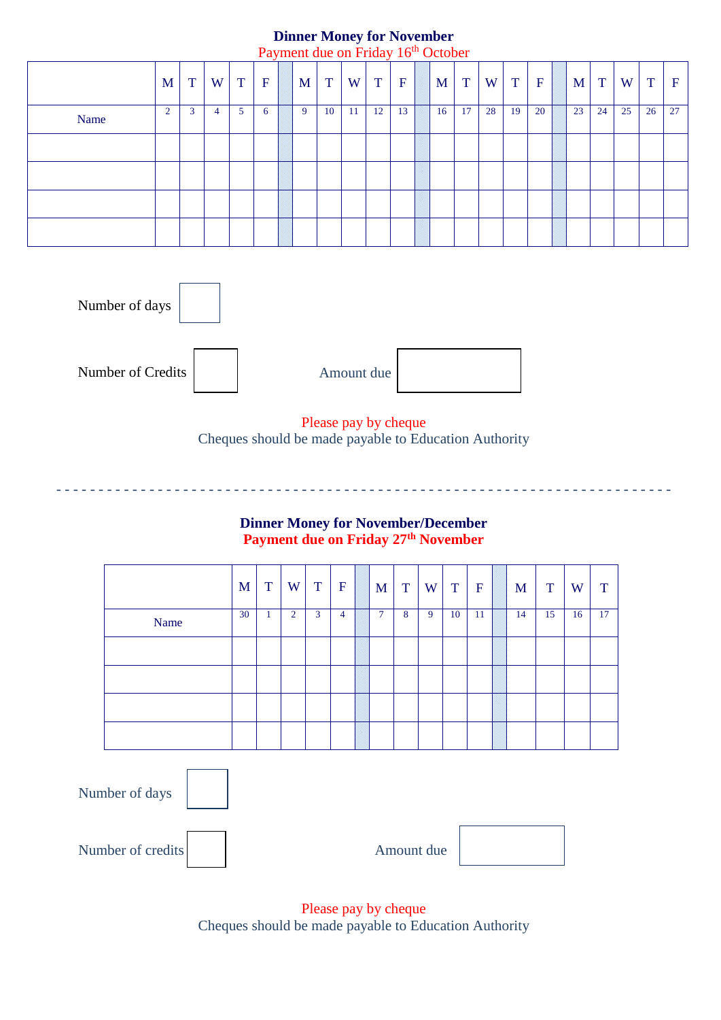# **Dinner Money for November**

|      |                |              |                |              |             |   |    |    | Payment due on Friday 16 <sup>th</sup> October |             |    |    |    |    |             |    |    |    |    |             |
|------|----------------|--------------|----------------|--------------|-------------|---|----|----|------------------------------------------------|-------------|----|----|----|----|-------------|----|----|----|----|-------------|
|      | M <sub>1</sub> | $\mathbf{T}$ | W <sub>1</sub> | $\mathbf{T}$ | $\mathbf F$ | M | T  | W  | T                                              | $\mathbf F$ | M  | T  | W  | T  | $\mathbf F$ | M  | T  | W  | T  | $\mathbf F$ |
| Name | $\overline{2}$ | 3            | 4              | 5            | 6           | 9 | 10 | 11 | 12                                             | 13          | 16 | 17 | 28 | 19 | 20          | 23 | 24 | 25 | 26 | 27          |
|      |                |              |                |              |             |   |    |    |                                                |             |    |    |    |    |             |    |    |    |    |             |
|      |                |              |                |              |             |   |    |    |                                                |             |    |    |    |    |             |    |    |    |    |             |
|      |                |              |                |              |             |   |    |    |                                                |             |    |    |    |    |             |    |    |    |    |             |
|      |                |              |                |              |             |   |    |    |                                                |             |    |    |    |    |             |    |    |    |    |             |



Please pay by cheque Cheques should be made payable to Education Authority

- - - - - - - - - - - - - - - - - - - - - - - - - - - - - - - - - - - - - - - - - - - - - - - - - - - - - - - - - - - - - - - - - - - - - - - - -

#### **Dinner Money for November/December Payment due on Friday 27th November**

|      | M  | T  | W              | T | $\mathbf{F}$ | M              | $\mathbf T$ | W | $\mathbf{T}$ | $\mathbf{F}$ | M  | T  | W  | T  |
|------|----|----|----------------|---|--------------|----------------|-------------|---|--------------|--------------|----|----|----|----|
| Name | 30 | -1 | $\overline{2}$ | 3 | 4            | $\overline{7}$ | 8           | 9 | 10           | 11           | 14 | 15 | 16 | 17 |
|      |    |    |                |   |              |                |             |   |              |              |    |    |    |    |
|      |    |    |                |   |              |                |             |   |              |              |    |    |    |    |
|      |    |    |                |   |              |                |             |   |              |              |    |    |    |    |
|      |    |    |                |   |              |                |             |   |              |              |    |    |    |    |

| Number of days    |            |  |
|-------------------|------------|--|
| Number of credits | Amount due |  |

Please pay by cheque Cheques should be made payable to Education Authority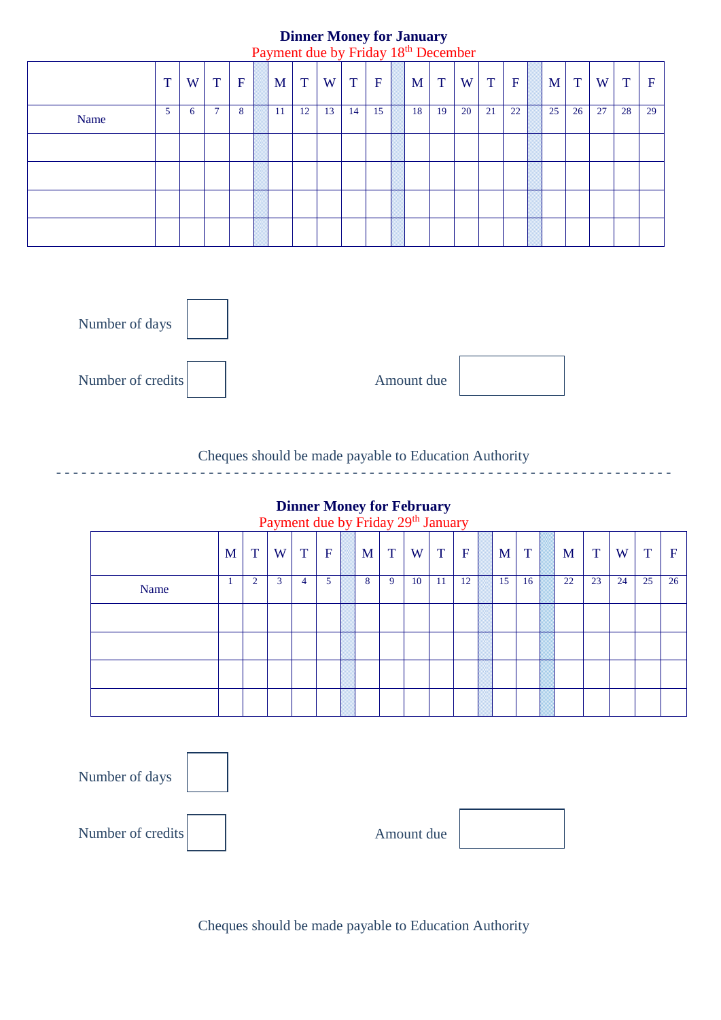#### **Dinner Money for January** Payment due by Friday 18th December

|      |   |   |        |             |     |    |    |    |             | Tayment due by Thuay To December |     |    |    |             |    |    |    |    |             |
|------|---|---|--------|-------------|-----|----|----|----|-------------|----------------------------------|-----|----|----|-------------|----|----|----|----|-------------|
|      | T | W | T      | $\mathbf F$ | M   | T  | W  | T  | $\mathbf F$ | M                                | T   | W  | T  | $\mathbf F$ | M  | T  | W. | T  | $\mathbf F$ |
| Name | 5 | 6 | $\tau$ | 8           | -11 | 12 | 13 | 14 | 15          | 18                               | -19 | 20 | 21 | 22          | 25 | 26 | 27 | 28 | 29          |
|      |   |   |        |             |     |    |    |    |             |                                  |     |    |    |             |    |    |    |    |             |
|      |   |   |        |             |     |    |    |    |             |                                  |     |    |    |             |    |    |    |    |             |
|      |   |   |        |             |     |    |    |    |             |                                  |     |    |    |             |    |    |    |    |             |
|      |   |   |        |             |     |    |    |    |             |                                  |     |    |    |             |    |    |    |    |             |



## Cheques should be made payable to Education Authority

- - - - - - - - - - - - - - - - - - - - - - - - - - - - - - - - - - - - - - - - - - - - - - - - - - - - - - - - - - - - - - - - - - - - - - - - -

#### **Dinner Money for February**

Payment due by Friday 29<sup>th</sup> January

|      |   |                | a a finem ado o fanda je podnodne j |              |             |   |   |    |    |              |    |    |    |    |    |    |                  |
|------|---|----------------|-------------------------------------|--------------|-------------|---|---|----|----|--------------|----|----|----|----|----|----|------------------|
|      | M | T              | W                                   | $\mathbf{T}$ | $\mathbf F$ | M | T | W  | T  | $\mathbf{F}$ | M  | T  | M  | T  | W  | T  | $\boldsymbol{F}$ |
| Name |   | $\overline{2}$ | $\mathbf{3}$                        | 4            | 5           | 8 | 9 | 10 | 11 | 12           | 15 | 16 | 22 | 23 | 24 | 25 | 26               |
|      |   |                |                                     |              |             |   |   |    |    |              |    |    |    |    |    |    |                  |
|      |   |                |                                     |              |             |   |   |    |    |              |    |    |    |    |    |    |                  |
|      |   |                |                                     |              |             |   |   |    |    |              |    |    |    |    |    |    |                  |
|      |   |                |                                     |              |             |   |   |    |    |              |    |    |    |    |    |    |                  |



#### Cheques should be made payable to Education Authority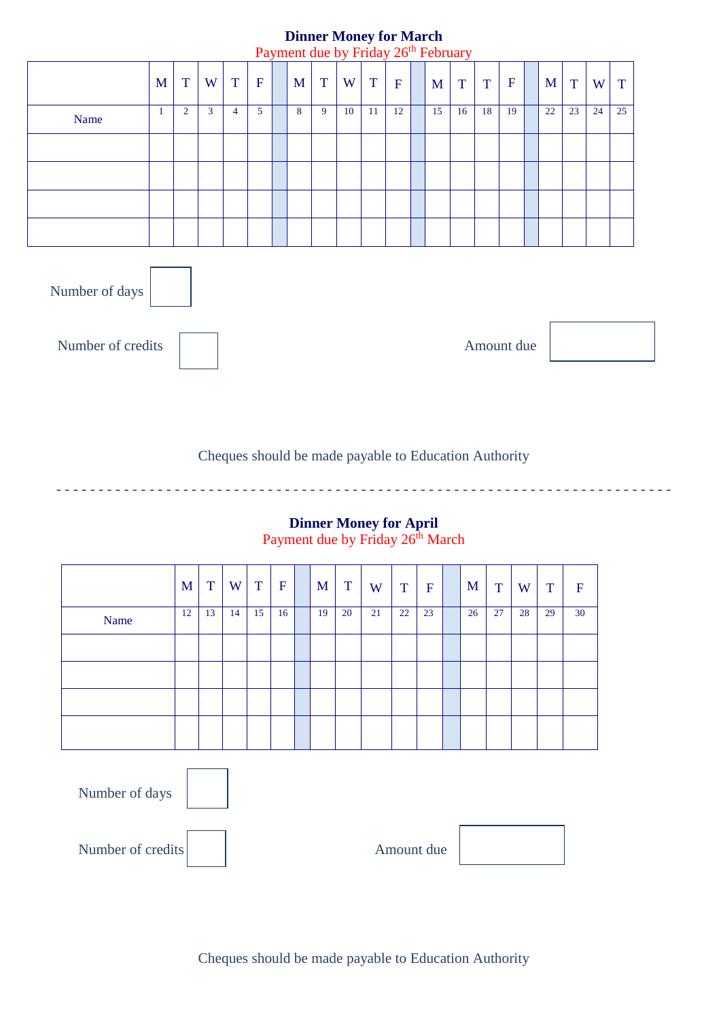# **Dinner Money for March**

|      |   |                |   |   |             | Payment due by Friday 26 <sup>th</sup> February |   |    |    |             |    |    |    |             |    |    |    |    |
|------|---|----------------|---|---|-------------|-------------------------------------------------|---|----|----|-------------|----|----|----|-------------|----|----|----|----|
|      | M | T              | W | T | $\mathbf F$ | M                                               | T | W  | T  | $\mathbf F$ | M  | T  | T  | $\mathbf F$ | M  | T  | W  | T  |
| Name | 1 | $\overline{2}$ | 3 | 4 | 5           | 8                                               | 9 | 10 | 11 | 12          | 15 | 16 | 18 | 19          | 22 | 23 | 24 | 25 |
|      |   |                |   |   |             |                                                 |   |    |    |             |    |    |    |             |    |    |    |    |
|      |   |                |   |   |             |                                                 |   |    |    |             |    |    |    |             |    |    |    |    |
|      |   |                |   |   |             |                                                 |   |    |    |             |    |    |    |             |    |    |    |    |
|      |   |                |   |   |             |                                                 |   |    |    |             |    |    |    |             |    |    |    |    |
|      |   |                |   |   |             |                                                 |   |    |    |             |    |    |    |             |    |    |    |    |



Number of credits

Amount due

Cheques should be made payable to Education Authority

- - - - - - - - - - - - - - - - - - - - - - - - - - - - - - - - - - - - - - - - - - - - - - - - - - - - - - - - - - - - - - - - - - - - - - - - -

#### **Dinner Money for April** Payment due by Friday 26<sup>th</sup> March

|      | M  | T  | W  | T  | $\mathbf F$ | M  | T  | W  | T  | $\mathbf F$ | M  | T  | W  | T  | $\mathbf F$ |
|------|----|----|----|----|-------------|----|----|----|----|-------------|----|----|----|----|-------------|
| Name | 12 | 13 | 14 | 15 | 16          | 19 | 20 | 21 | 22 | 23          | 26 | 27 | 28 | 29 | 30          |
|      |    |    |    |    |             |    |    |    |    |             |    |    |    |    |             |
|      |    |    |    |    |             |    |    |    |    |             |    |    |    |    |             |
|      |    |    |    |    |             |    |    |    |    |             |    |    |    |    |             |
|      |    |    |    |    |             |    |    |    |    |             |    |    |    |    |             |

| Number of days    |            |
|-------------------|------------|
| Number of credits | Amount due |